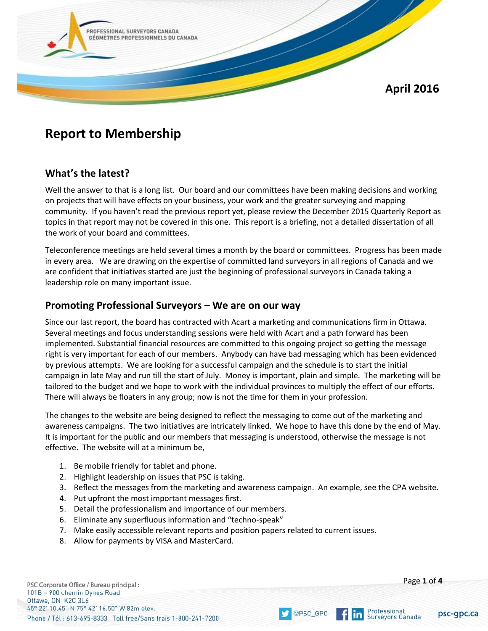

# **Report to Membership**

### **What's the latest?**

Well the answer to that is a long list. Our board and our committees have been making decisions and working on projects that will have effects on your business, your work and the greater surveying and mapping community. If you haven't read the previous report yet, please review the December 2015 Quarterly Report as topics in that report may not be covered in this one. This report is a briefing, not a detailed dissertation of all the work of your board and committees.

Teleconference meetings are held several times a month by the board or committees. Progress has been made in every area. We are drawing on the expertise of committed land surveyors in all regions of Canada and we are confident that initiatives started are just the beginning of professional surveyors in Canada taking a leadership role on many important issue.

#### **Promoting Professional Surveyors – We are on our way**

Since our last report, the board has contracted with Acart a marketing and communications firm in Ottawa. Several meetings and focus understanding sessions were held with Acart and a path forward has been implemented. Substantial financial resources are committed to this ongoing project so getting the message right is very important for each of our members. Anybody can have bad messaging which has been evidenced by previous attempts. We are looking for a successful campaign and the schedule is to start the initial campaign in late May and run till the start of July. Money is important, plain and simple. The marketing will be tailored to the budget and we hope to work with the individual provinces to multiply the effect of our efforts. There will always be floaters in any group; now is not the time for them in your profession.

The changes to the website are being designed to reflect the messaging to come out of the marketing and awareness campaigns. The two initiatives are intricately linked. We hope to have this done by the end of May. It is important for the public and our members that messaging is understood, otherwise the message is not effective. The website will at a minimum be,

- 1. Be mobile friendly for tablet and phone.
- 2. Highlight leadership on issues that PSC is taking.
- 3. Reflect the messages from the marketing and awareness campaign. An example, see the CPA website.

@PSC\_GPC

- 4. Put upfront the most important messages first.
- 5. Detail the professionalism and importance of our members.
- 6. Eliminate any superfluous information and "techno-speak"
- 7. Make easily accessible relevant reports and position papers related to current issues.
- 8. Allow for payments by VISA and MasterCard.

PSC Corporate Office / Bureau principal: 101B - 900 chemin Dynes Road Ottawa, ON K2C 3L6 45° 22' 10.45" N 75° 42' 16.50" W 82m elev. Phone / Tél : 613-695-8333 Toll free/Sans frais 1-800-241-7200 Page **1** of **4**

psc-gpc.ca

Professional

**Surveyors Canada** 

ın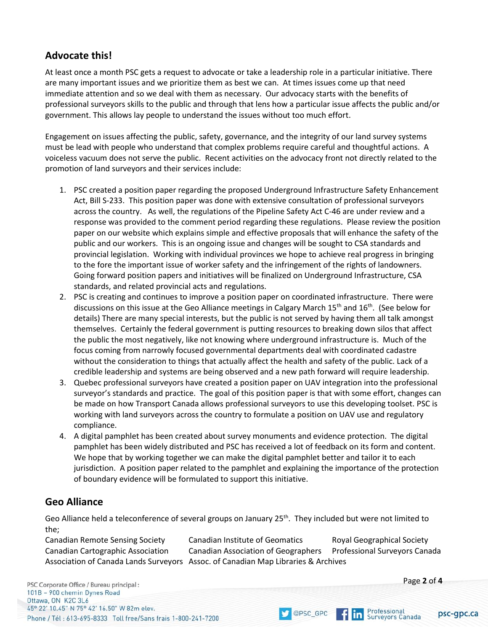## **Advocate this!**

At least once a month PSC gets a request to advocate or take a leadership role in a particular initiative. There are many important issues and we prioritize them as best we can. At times issues come up that need immediate attention and so we deal with them as necessary. Our advocacy starts with the benefits of professional surveyors skills to the public and through that lens how a particular issue affects the public and/or government. This allows lay people to understand the issues without too much effort.

Engagement on issues affecting the public, safety, governance, and the integrity of our land survey systems must be lead with people who understand that complex problems require careful and thoughtful actions. A voiceless vacuum does not serve the public. Recent activities on the advocacy front not directly related to the promotion of land surveyors and their services include:

- 1. PSC created a position paper regarding the proposed Underground Infrastructure Safety Enhancement Act, Bill S-233. This position paper was done with extensive consultation of professional surveyors across the country. As well, the regulations of the Pipeline Safety Act C-46 are under review and a response was provided to the comment period regarding these regulations. Please review the position paper on our website which explains simple and effective proposals that will enhance the safety of the public and our workers. This is an ongoing issue and changes will be sought to CSA standards and provincial legislation. Working with individual provinces we hope to achieve real progress in bringing to the fore the important issue of worker safety and the infringement of the rights of landowners. Going forward position papers and initiatives will be finalized on Underground Infrastructure, CSA standards, and related provincial acts and regulations.
- 2. PSC is creating and continues to improve a position paper on coordinated infrastructure. There were discussions on this issue at the Geo Alliance meetings in Calgary March 15<sup>th</sup> and 16<sup>th</sup>. (See below for details) There are many special interests, but the public is not served by having them all talk amongst themselves. Certainly the federal government is putting resources to breaking down silos that affect the public the most negatively, like not knowing where underground infrastructure is. Much of the focus coming from narrowly focused governmental departments deal with coordinated cadastre without the consideration to things that actually affect the health and safety of the public. Lack of a credible leadership and systems are being observed and a new path forward will require leadership.
- 3. Quebec professional surveyors have created a position paper on UAV integration into the professional surveyor's standards and practice. The goal of this position paper is that with some effort, changes can be made on how Transport Canada allows professional surveyors to use this developing toolset. PSC is working with land surveyors across the country to formulate a position on UAV use and regulatory compliance.
- 4. A digital pamphlet has been created about survey monuments and evidence protection. The digital pamphlet has been widely distributed and PSC has received a lot of feedback on its form and content. We hope that by working together we can make the digital pamphlet better and tailor it to each jurisdiction. A position paper related to the pamphlet and explaining the importance of the protection of boundary evidence will be formulated to support this initiative.

#### **Geo Alliance**

Geo Alliance held a teleconference of several groups on January 25<sup>th</sup>. They included but were not limited to the;

Canadian Remote Sensing Society Canadian Institute of Geomatics Royal Geographical Society Canadian Cartographic Association Canadian Association of Geographers Professional Surveyors Canada Association of Canada Lands Surveyors Assoc. of Canadian Map Libraries & Archives

@PSC\_GPC

PSC Corporate Office / Bureau principal: 101B - 900 chemin Dynes Road Ottawa, ON K2C 3L6 45° 22' 10.45" N 75° 42' 16.50" W 82m elev. Phone / Tél: 613-695-8333 Toll free/Sans frais 1-800-241-7200



Page **2** of **4**

psc-gpc.ca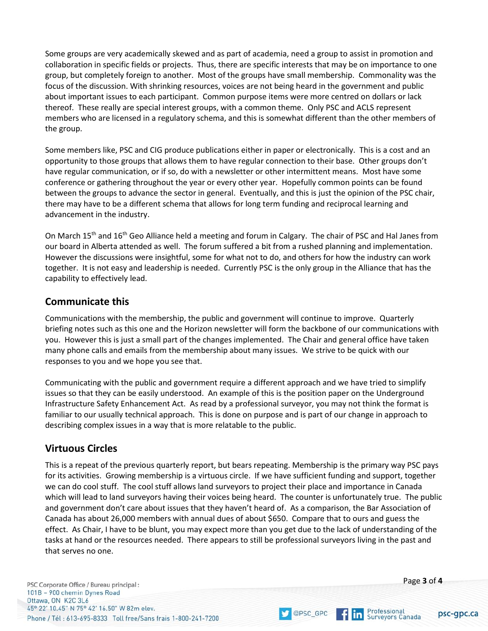Some groups are very academically skewed and as part of academia, need a group to assist in promotion and collaboration in specific fields or projects. Thus, there are specific interests that may be on importance to one group, but completely foreign to another. Most of the groups have small membership. Commonality was the focus of the discussion. With shrinking resources, voices are not being heard in the government and public about important issues to each participant. Common purpose items were more centred on dollars or lack thereof. These really are special interest groups, with a common theme. Only PSC and ACLS represent members who are licensed in a regulatory schema, and this is somewhat different than the other members of the group.

Some members like, PSC and CIG produce publications either in paper or electronically. This is a cost and an opportunity to those groups that allows them to have regular connection to their base. Other groups don't have regular communication, or if so, do with a newsletter or other intermittent means. Most have some conference or gathering throughout the year or every other year. Hopefully common points can be found between the groups to advance the sector in general. Eventually, and this is just the opinion of the PSC chair, there may have to be a different schema that allows for long term funding and reciprocal learning and advancement in the industry.

On March 15<sup>th</sup> and 16<sup>th</sup> Geo Alliance held a meeting and forum in Calgary. The chair of PSC and Hal Janes from our board in Alberta attended as well. The forum suffered a bit from a rushed planning and implementation. However the discussions were insightful, some for what not to do, and others for how the industry can work together. It is not easy and leadership is needed. Currently PSC is the only group in the Alliance that has the capability to effectively lead.

### **Communicate this**

Communications with the membership, the public and government will continue to improve. Quarterly briefing notes such as this one and the Horizon newsletter will form the backbone of our communications with you. However this is just a small part of the changes implemented. The Chair and general office have taken many phone calls and emails from the membership about many issues. We strive to be quick with our responses to you and we hope you see that.

Communicating with the public and government require a different approach and we have tried to simplify issues so that they can be easily understood. An example of this is the position paper on the Underground Infrastructure Safety Enhancement Act. As read by a professional surveyor, you may not think the format is familiar to our usually technical approach. This is done on purpose and is part of our change in approach to describing complex issues in a way that is more relatable to the public.

#### **Virtuous Circles**

This is a repeat of the previous quarterly report, but bears repeating. Membership is the primary way PSC pays for its activities. Growing membership is a virtuous circle. If we have sufficient funding and support, together we can do cool stuff. The cool stuff allows land surveyors to project their place and importance in Canada which will lead to land surveyors having their voices being heard. The counter is unfortunately true. The public and government don't care about issues that they haven't heard of. As a comparison, the Bar Association of Canada has about 26,000 members with annual dues of about \$650. Compare that to ours and guess the effect. As Chair, I have to be blunt, you may expect more than you get due to the lack of understanding of the tasks at hand or the resources needed. There appears to still be professional surveyors living in the past and that serves no one.

PSC Corporate Office / Bureau principal: 101B - 900 chemin Dynes Road Ottawa, ON K2C 3L6 45° 22' 10.45" N 75° 42' 16.50" W 82m elev. Phone / Tél : 613-695-8333 Toll free/Sans frais 1-800-241-7200 Page **3** of **4**

psc-gpc.ca

Professional<br>Surveyors Canada

lin.

@PSC\_GPC